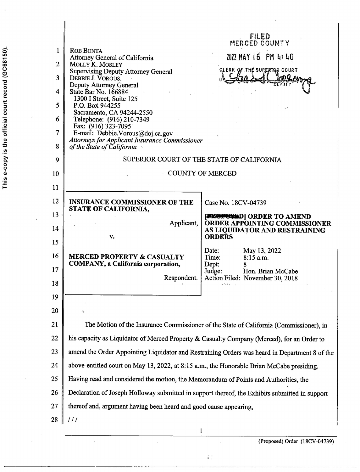|                |                                                                                                | FILED<br>MERCED COUNTY                                                   |  |
|----------------|------------------------------------------------------------------------------------------------|--------------------------------------------------------------------------|--|
| 1              | <b>ROB BONTA</b><br>Attorney General of California                                             | 2022 MAY 16 PM 4:40                                                      |  |
| $\overline{2}$ | MOLLY K. MOSLEY                                                                                | CLERK OF THE SUPERTOR COURT                                              |  |
| 3              | <b>Supervising Deputy Attorney General</b><br>DEBBIE J. VOROUS.                                | 80 Q Am                                                                  |  |
| 4              | Deputy Attorney General<br>State Bar No. 166884                                                |                                                                          |  |
| 5              | 1300 I Street, Suite 125<br>P.O. Box 944255                                                    |                                                                          |  |
| 6              | Sacramento, CA 94244-2550<br>Telephone: (916) 210-7349                                         |                                                                          |  |
| 7              | Fax: (916) 323-7095<br>E-mail: Debbie.Vorous@doj.ca.gov                                        |                                                                          |  |
| 8              | <b>Attorneys for Applicant Insurance Commissioner</b><br>of the State of California            |                                                                          |  |
| 9              |                                                                                                | SUPERIOR COURT OF THE STATE OF CALIFORNIA                                |  |
| 10             |                                                                                                | <b>COUNTY OF MERCED</b>                                                  |  |
| 11             |                                                                                                |                                                                          |  |
| 12             | <b>INSURANCE COMMISSIONER OF THE</b>                                                           |                                                                          |  |
| 13             | STATE OF CALIFORNIA,                                                                           | Case No. 18CV-04739                                                      |  |
|                | Applicant,                                                                                     | <b>PROPOSED</b>   ORDER TO AMEND<br><b>ORDER APPOINTING COMMISSIONER</b> |  |
| 14             | v.                                                                                             | AS LIQUIDATOR AND RESTRAINING<br><b>ORDERS</b>                           |  |
| 15             |                                                                                                | Date:<br>May 13, 2022                                                    |  |
| 16             | <b>MERCED PROPERTY &amp; CASUALTY</b><br><b>COMPANY</b> , a California corporation,            | Time:<br>$8:15$ a.m.<br>Dept:<br>8                                       |  |
| 17             | Respondent.                                                                                    | Judge:<br>Hon. Brian McCabe<br>Action Filed: November 30, 2018           |  |
| 18             |                                                                                                |                                                                          |  |
| 19             |                                                                                                |                                                                          |  |
| 20             | Š                                                                                              |                                                                          |  |
| 21             | The Motion of the Insurance Commissioner of the State of California (Commissioner), in         |                                                                          |  |
| 22             | his capacity as Liquidator of Merced Property & Casualty Company (Merced), for an Order to     |                                                                          |  |
| 23             | amend the Order Appointing Liquidator and Restraining Orders was heard in Department 8 of the  |                                                                          |  |
| 24             | above-entitled court on May 13, 2022, at 8:15 a.m., the Honorable Brian McCabe presiding.      |                                                                          |  |
| 25             | Having read and considered the motion, the Memorandum of Points and Authorities, the           |                                                                          |  |
| 26             | Declaration of Joseph Holloway submitted in support thereof, the Exhibits submitted in support |                                                                          |  |
| 27             | thereof and, argument having been heard and good cause appearing,                              |                                                                          |  |
| 28             | $\frac{1}{2}$                                                                                  |                                                                          |  |
|                | 1                                                                                              |                                                                          |  |

 $\hat{r}$ 

 $\frac{1}{2}$ 

 $\ddot{\phantom{0}}$ 

l,

 $\mathbb{P}^1_1$ 

(Proposed) Order (1 8CV-04739)

 $\tilde{c}$ 

 $\lambda$